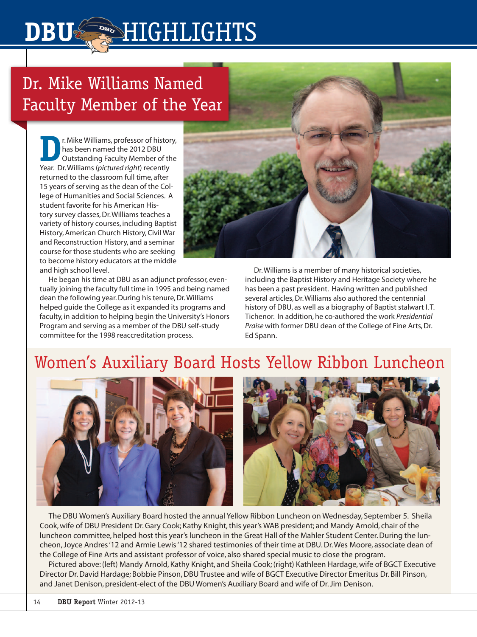# Dr. Mike Williams Named Faculty Member of the Year

**DBS**HIGHLIGHTS

**D**<br>**Physics** Inc. Williams, professor of history,<br>Discussions and the 2012 DBU<br>Outstanding Faculty Member of the<br>Vear, Dr. Williams (pictured right) recently has been named the 2012 DBU Outstanding Faculty Member of the Year. Dr. Williams (*pictured right*) recently returned to the classroom full time, after 15 years of serving as the dean of the College of Humanities and Social Sciences. A student favorite for his American History survey classes, Dr. Williams teaches a variety of history courses, including Baptist History, American Church History, Civil War and Reconstruction History, and a seminar course for those students who are seeking to become history educators at the middle and high school level.

He began his time at DBU as an adjunct professor, eventually joining the faculty full time in 1995 and being named dean the following year. During his tenure, Dr. Williams helped guide the College as it expanded its programs and faculty, in addition to helping begin the University's Honors Program and serving as a member of the DBU self-study committee for the 1998 reaccreditation process.

Dr. Williams is a member of many historical societies, including the Baptist History and Heritage Society where he has been a past president. Having written and published several articles, Dr. Williams also authored the centennial history of DBU, as well as a biography of Baptist stalwart I. T. Tichenor. In addition, he co-authored the work *Presidential Praise* with former DBU dean of the College of Fine Arts, Dr. Ed Spann.

### Women's Auxiliary Board Hosts Yellow Ribbon Luncheon



The DBU Women's Auxiliary Board hosted the annual Yellow Ribbon Luncheon on Wednesday, September 5. Sheila Cook, wife of DBU President Dr. Gary Cook; Kathy Knight, this year's WAB president; and Mandy Arnold, chair of the luncheon committee, helped host this year's luncheon in the Great Hall of the Mahler Student Center. During the luncheon, Joyce Andres '12 and Armie Lewis '12 shared testimonies of their time at DBU. Dr. Wes Moore, associate dean of the College of Fine Arts and assistant professor of voice, also shared special music to close the program.

Pictured above: (left) Mandy Arnold, Kathy Knight, and Sheila Cook; (right) Kathleen Hardage, wife of BGCT Executive Director Dr. David Hardage; Bobbie Pinson, DBU Trustee and wife of BGCT Executive Director Emeritus Dr. Bill Pinson, and Janet Denison, president-elect of the DBU Women's Auxiliary Board and wife of Dr. Jim Denison.